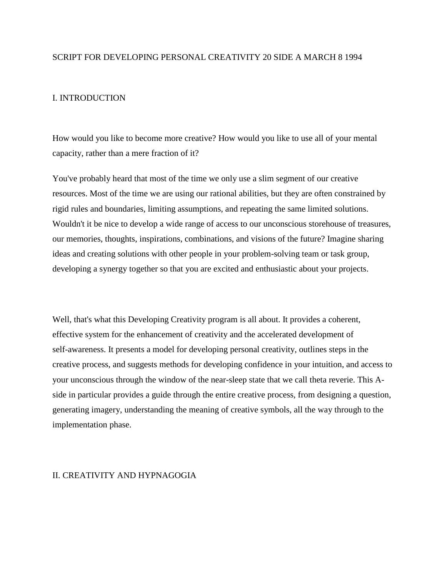## SCRIPT FOR DEVELOPING PERSONAL CREATIVITY 20 SIDE A MARCH 8 1994

## I. INTRODUCTION

How would you like to become more creative? How would you like to use all of your mental capacity, rather than a mere fraction of it?

You've probably heard that most of the time we only use a slim segment of our creative resources. Most of the time we are using our rational abilities, but they are often constrained by rigid rules and boundaries, limiting assumptions, and repeating the same limited solutions. Wouldn't it be nice to develop a wide range of access to our unconscious storehouse of treasures, our memories, thoughts, inspirations, combinations, and visions of the future? Imagine sharing ideas and creating solutions with other people in your problem-solving team or task group, developing a synergy together so that you are excited and enthusiastic about your projects.

Well, that's what this Developing Creativity program is all about. It provides a coherent, effective system for the enhancement of creativity and the accelerated development of self-awareness. It presents a model for developing personal creativity, outlines steps in the creative process, and suggests methods for developing confidence in your intuition, and access to your unconscious through the window of the near-sleep state that we call theta reverie. This Aside in particular provides a guide through the entire creative process, from designing a question, generating imagery, understanding the meaning of creative symbols, all the way through to the implementation phase.

## II. CREATIVITY AND HYPNAGOGIA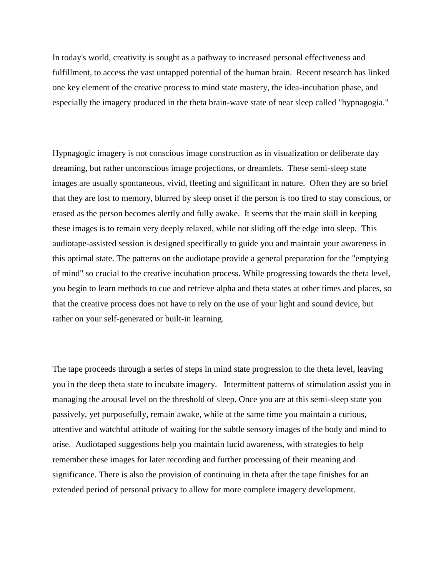In today's world, creativity is sought as a pathway to increased personal effectiveness and fulfillment, to access the vast untapped potential of the human brain. Recent research has linked one key element of the creative process to mind state mastery, the idea-incubation phase, and especially the imagery produced in the theta brain-wave state of near sleep called "hypnagogia."

Hypnagogic imagery is not conscious image construction as in visualization or deliberate day dreaming, but rather unconscious image projections, or dreamlets. These semi-sleep state images are usually spontaneous, vivid, fleeting and significant in nature. Often they are so brief that they are lost to memory, blurred by sleep onset if the person is too tired to stay conscious, or erased as the person becomes alertly and fully awake. It seems that the main skill in keeping these images is to remain very deeply relaxed, while not sliding off the edge into sleep. This audiotape-assisted session is designed specifically to guide you and maintain your awareness in this optimal state. The patterns on the audiotape provide a general preparation for the "emptying of mind" so crucial to the creative incubation process. While progressing towards the theta level, you begin to learn methods to cue and retrieve alpha and theta states at other times and places, so that the creative process does not have to rely on the use of your light and sound device, but rather on your self-generated or built-in learning.

The tape proceeds through a series of steps in mind state progression to the theta level, leaving you in the deep theta state to incubate imagery. Intermittent patterns of stimulation assist you in managing the arousal level on the threshold of sleep. Once you are at this semi-sleep state you passively, yet purposefully, remain awake, while at the same time you maintain a curious, attentive and watchful attitude of waiting for the subtle sensory images of the body and mind to arise. Audiotaped suggestions help you maintain lucid awareness, with strategies to help remember these images for later recording and further processing of their meaning and significance. There is also the provision of continuing in theta after the tape finishes for an extended period of personal privacy to allow for more complete imagery development.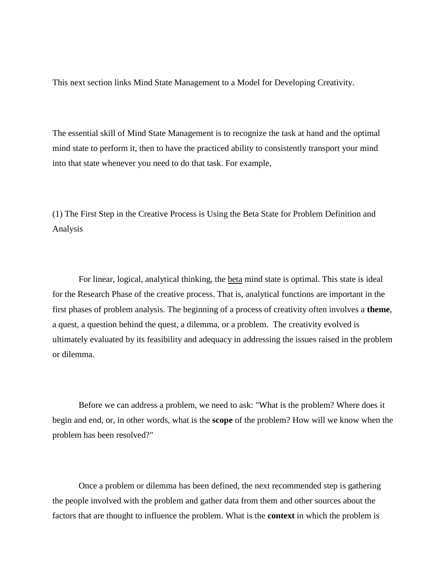This next section links Mind State Management to a Model for Developing Creativity.

The essential skill of Mind State Management is to recognize the task at hand and the optimal mind state to perform it, then to have the practiced ability to consistently transport your mind into that state whenever you need to do that task. For example,

(1) The First Step in the Creative Process is Using the Beta State for Problem Definition and Analysis

For linear, logical, analytical thinking, the beta mind state is optimal. This state is ideal for the Research Phase of the creative process. That is, analytical functions are important in the first phases of problem analysis. The beginning of a process of creativity often involves a **theme**, a quest, a question behind the quest, a dilemma, or a problem. The creativity evolved is ultimately evaluated by its feasibility and adequacy in addressing the issues raised in the problem or dilemma.

Before we can address a problem, we need to ask: "What is the problem? Where does it begin and end, or, in other words, what is the **scope** of the problem? How will we know when the problem has been resolved?"

Once a problem or dilemma has been defined, the next recommended step is gathering the people involved with the problem and gather data from them and other sources about the factors that are thought to influence the problem. What is the **context** in which the problem is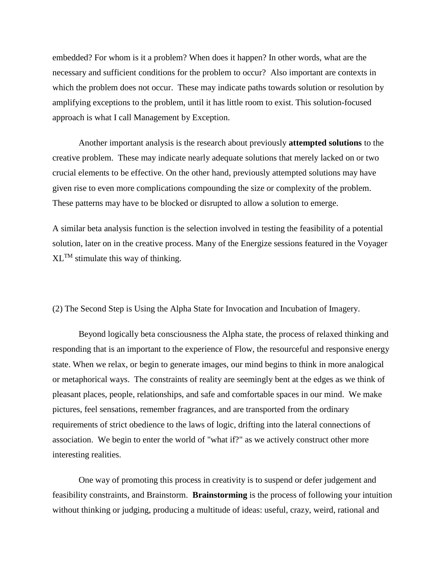embedded? For whom is it a problem? When does it happen? In other words, what are the necessary and sufficient conditions for the problem to occur? Also important are contexts in which the problem does not occur. These may indicate paths towards solution or resolution by amplifying exceptions to the problem, until it has little room to exist. This solution-focused approach is what I call Management by Exception.

Another important analysis is the research about previously **attempted solutions** to the creative problem. These may indicate nearly adequate solutions that merely lacked on or two crucial elements to be effective. On the other hand, previously attempted solutions may have given rise to even more complications compounding the size or complexity of the problem. These patterns may have to be blocked or disrupted to allow a solution to emerge.

A similar beta analysis function is the selection involved in testing the feasibility of a potential solution, later on in the creative process. Many of the Energize sessions featured in the Voyager  $XL^{TM}$  stimulate this way of thinking.

(2) The Second Step is Using the Alpha State for Invocation and Incubation of Imagery.

Beyond logically beta consciousness the Alpha state, the process of relaxed thinking and responding that is an important to the experience of Flow, the resourceful and responsive energy state. When we relax, or begin to generate images, our mind begins to think in more analogical or metaphorical ways. The constraints of reality are seemingly bent at the edges as we think of pleasant places, people, relationships, and safe and comfortable spaces in our mind. We make pictures, feel sensations, remember fragrances, and are transported from the ordinary requirements of strict obedience to the laws of logic, drifting into the lateral connections of association. We begin to enter the world of "what if?" as we actively construct other more interesting realities.

One way of promoting this process in creativity is to suspend or defer judgement and feasibility constraints, and Brainstorm. **Brainstorming** is the process of following your intuition without thinking or judging, producing a multitude of ideas: useful, crazy, weird, rational and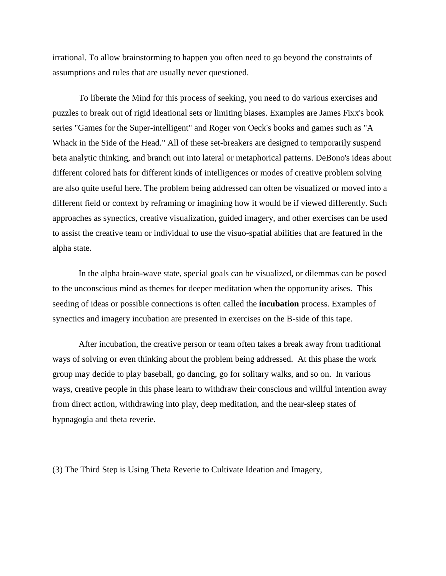irrational. To allow brainstorming to happen you often need to go beyond the constraints of assumptions and rules that are usually never questioned.

To liberate the Mind for this process of seeking, you need to do various exercises and puzzles to break out of rigid ideational sets or limiting biases. Examples are James Fixx's book series "Games for the Super-intelligent" and Roger von Oeck's books and games such as "A Whack in the Side of the Head." All of these set-breakers are designed to temporarily suspend beta analytic thinking, and branch out into lateral or metaphorical patterns. DeBono's ideas about different colored hats for different kinds of intelligences or modes of creative problem solving are also quite useful here. The problem being addressed can often be visualized or moved into a different field or context by reframing or imagining how it would be if viewed differently. Such approaches as synectics, creative visualization, guided imagery, and other exercises can be used to assist the creative team or individual to use the visuo-spatial abilities that are featured in the alpha state.

In the alpha brain-wave state, special goals can be visualized, or dilemmas can be posed to the unconscious mind as themes for deeper meditation when the opportunity arises. This seeding of ideas or possible connections is often called the **incubation** process. Examples of synectics and imagery incubation are presented in exercises on the B-side of this tape.

After incubation, the creative person or team often takes a break away from traditional ways of solving or even thinking about the problem being addressed. At this phase the work group may decide to play baseball, go dancing, go for solitary walks, and so on. In various ways, creative people in this phase learn to withdraw their conscious and willful intention away from direct action, withdrawing into play, deep meditation, and the near-sleep states of hypnagogia and theta reverie.

(3) The Third Step is Using Theta Reverie to Cultivate Ideation and Imagery,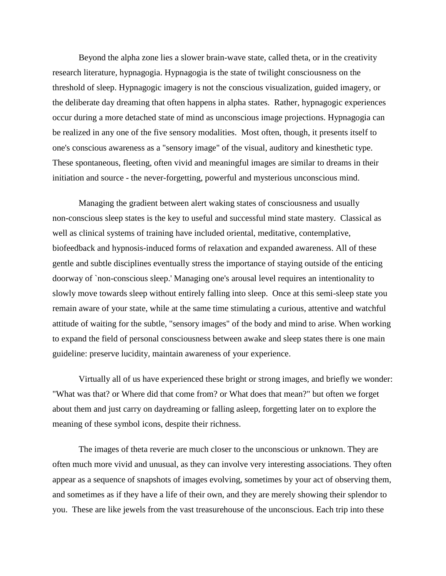Beyond the alpha zone lies a slower brain-wave state, called theta, or in the creativity research literature, hypnagogia. Hypnagogia is the state of twilight consciousness on the threshold of sleep. Hypnagogic imagery is not the conscious visualization, guided imagery, or the deliberate day dreaming that often happens in alpha states. Rather, hypnagogic experiences occur during a more detached state of mind as unconscious image projections. Hypnagogia can be realized in any one of the five sensory modalities. Most often, though, it presents itself to one's conscious awareness as a "sensory image" of the visual, auditory and kinesthetic type. These spontaneous, fleeting, often vivid and meaningful images are similar to dreams in their initiation and source - the never-forgetting, powerful and mysterious unconscious mind.

Managing the gradient between alert waking states of consciousness and usually non-conscious sleep states is the key to useful and successful mind state mastery. Classical as well as clinical systems of training have included oriental, meditative, contemplative, biofeedback and hypnosis-induced forms of relaxation and expanded awareness. All of these gentle and subtle disciplines eventually stress the importance of staying outside of the enticing doorway of `non-conscious sleep.' Managing one's arousal level requires an intentionality to slowly move towards sleep without entirely falling into sleep. Once at this semi-sleep state you remain aware of your state, while at the same time stimulating a curious, attentive and watchful attitude of waiting for the subtle, "sensory images" of the body and mind to arise. When working to expand the field of personal consciousness between awake and sleep states there is one main guideline: preserve lucidity, maintain awareness of your experience.

Virtually all of us have experienced these bright or strong images, and briefly we wonder: "What was that? or Where did that come from? or What does that mean?" but often we forget about them and just carry on daydreaming or falling asleep, forgetting later on to explore the meaning of these symbol icons, despite their richness.

The images of theta reverie are much closer to the unconscious or unknown. They are often much more vivid and unusual, as they can involve very interesting associations. They often appear as a sequence of snapshots of images evolving, sometimes by your act of observing them, and sometimes as if they have a life of their own, and they are merely showing their splendor to you. These are like jewels from the vast treasurehouse of the unconscious. Each trip into these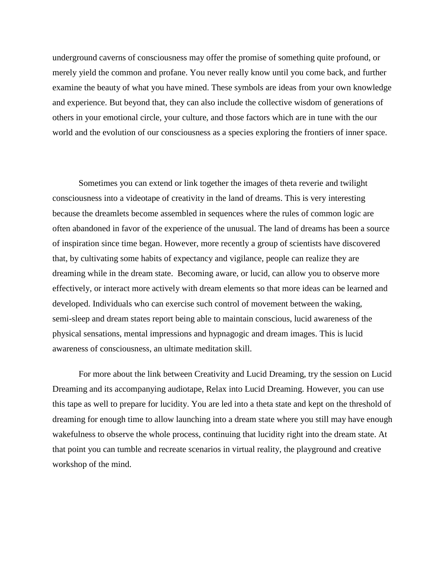underground caverns of consciousness may offer the promise of something quite profound, or merely yield the common and profane. You never really know until you come back, and further examine the beauty of what you have mined. These symbols are ideas from your own knowledge and experience. But beyond that, they can also include the collective wisdom of generations of others in your emotional circle, your culture, and those factors which are in tune with the our world and the evolution of our consciousness as a species exploring the frontiers of inner space.

Sometimes you can extend or link together the images of theta reverie and twilight consciousness into a videotape of creativity in the land of dreams. This is very interesting because the dreamlets become assembled in sequences where the rules of common logic are often abandoned in favor of the experience of the unusual. The land of dreams has been a source of inspiration since time began. However, more recently a group of scientists have discovered that, by cultivating some habits of expectancy and vigilance, people can realize they are dreaming while in the dream state. Becoming aware, or lucid, can allow you to observe more effectively, or interact more actively with dream elements so that more ideas can be learned and developed. Individuals who can exercise such control of movement between the waking, semi-sleep and dream states report being able to maintain conscious, lucid awareness of the physical sensations, mental impressions and hypnagogic and dream images. This is lucid awareness of consciousness, an ultimate meditation skill.

For more about the link between Creativity and Lucid Dreaming, try the session on Lucid Dreaming and its accompanying audiotape, Relax into Lucid Dreaming. However, you can use this tape as well to prepare for lucidity. You are led into a theta state and kept on the threshold of dreaming for enough time to allow launching into a dream state where you still may have enough wakefulness to observe the whole process, continuing that lucidity right into the dream state. At that point you can tumble and recreate scenarios in virtual reality, the playground and creative workshop of the mind.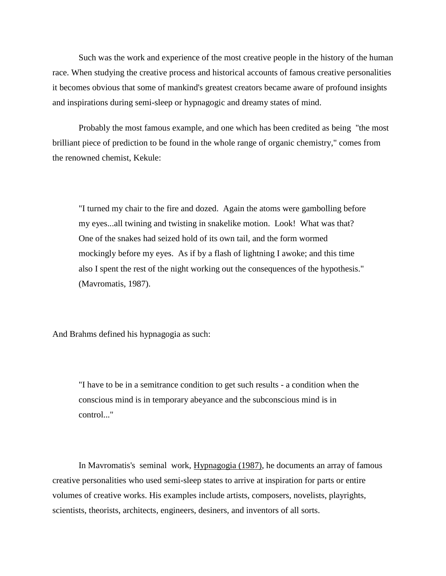Such was the work and experience of the most creative people in the history of the human race. When studying the creative process and historical accounts of famous creative personalities it becomes obvious that some of mankind's greatest creators became aware of profound insights and inspirations during semi-sleep or hypnagogic and dreamy states of mind.

Probably the most famous example, and one which has been credited as being "the most brilliant piece of prediction to be found in the whole range of organic chemistry," comes from the renowned chemist, Kekule:

"I turned my chair to the fire and dozed. Again the atoms were gambolling before my eyes...all twining and twisting in snakelike motion. Look! What was that? One of the snakes had seized hold of its own tail, and the form wormed mockingly before my eyes. As if by a flash of lightning I awoke; and this time also I spent the rest of the night working out the consequences of the hypothesis." (Mavromatis, 1987).

And Brahms defined his hypnagogia as such:

"I have to be in a semitrance condition to get such results - a condition when the conscious mind is in temporary abeyance and the subconscious mind is in control..."

In Mavromatis's seminal work, Hypnagogia (1987), he documents an array of famous creative personalities who used semi-sleep states to arrive at inspiration for parts or entire volumes of creative works. His examples include artists, composers, novelists, playrights, scientists, theorists, architects, engineers, desiners, and inventors of all sorts.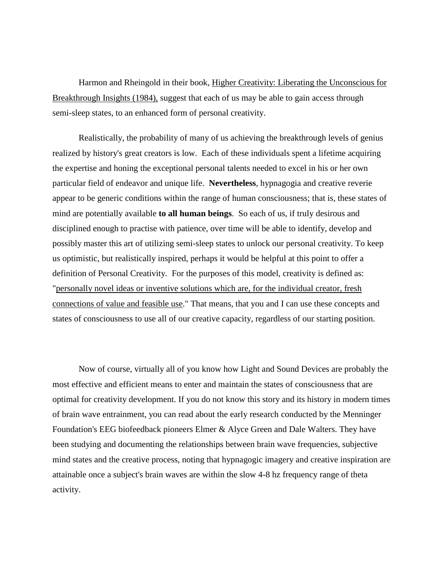Harmon and Rheingold in their book, Higher Creativity: Liberating the Unconscious for Breakthrough Insights (1984), suggest that each of us may be able to gain access through semi-sleep states, to an enhanced form of personal creativity.

Realistically, the probability of many of us achieving the breakthrough levels of genius realized by history's great creators is low. Each of these individuals spent a lifetime acquiring the expertise and honing the exceptional personal talents needed to excel in his or her own particular field of endeavor and unique life. **Nevertheless**, hypnagogia and creative reverie appear to be generic conditions within the range of human consciousness; that is, these states of mind are potentially available **to all human beings**. So each of us, if truly desirous and disciplined enough to practise with patience, over time will be able to identify, develop and possibly master this art of utilizing semi-sleep states to unlock our personal creativity. To keep us optimistic, but realistically inspired, perhaps it would be helpful at this point to offer a definition of Personal Creativity. For the purposes of this model, creativity is defined as: "personally novel ideas or inventive solutions which are, for the individual creator, fresh connections of value and feasible use." That means, that you and I can use these concepts and states of consciousness to use all of our creative capacity, regardless of our starting position.

Now of course, virtually all of you know how Light and Sound Devices are probably the most effective and efficient means to enter and maintain the states of consciousness that are optimal for creativity development. If you do not know this story and its history in modern times of brain wave entrainment, you can read about the early research conducted by the Menninger Foundation's EEG biofeedback pioneers Elmer & Alyce Green and Dale Walters. They have been studying and documenting the relationships between brain wave frequencies, subjective mind states and the creative process, noting that hypnagogic imagery and creative inspiration are attainable once a subject's brain waves are within the slow 4-8 hz frequency range of theta activity.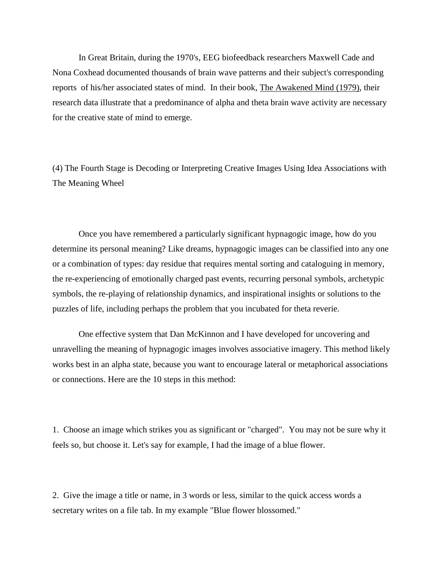In Great Britain, during the 1970's, EEG biofeedback researchers Maxwell Cade and Nona Coxhead documented thousands of brain wave patterns and their subject's corresponding reports of his/her associated states of mind. In their book, The Awakened Mind (1979), their research data illustrate that a predominance of alpha and theta brain wave activity are necessary for the creative state of mind to emerge.

(4) The Fourth Stage is Decoding or Interpreting Creative Images Using Idea Associations with The Meaning Wheel

Once you have remembered a particularly significant hypnagogic image, how do you determine its personal meaning? Like dreams, hypnagogic images can be classified into any one or a combination of types: day residue that requires mental sorting and cataloguing in memory, the re-experiencing of emotionally charged past events, recurring personal symbols, archetypic symbols, the re-playing of relationship dynamics, and inspirational insights or solutions to the puzzles of life, including perhaps the problem that you incubated for theta reverie.

One effective system that Dan McKinnon and I have developed for uncovering and unravelling the meaning of hypnagogic images involves associative imagery. This method likely works best in an alpha state, because you want to encourage lateral or metaphorical associations or connections. Here are the 10 steps in this method:

1. Choose an image which strikes you as significant or "charged". You may not be sure why it feels so, but choose it. Let's say for example, I had the image of a blue flower.

2. Give the image a title or name, in 3 words or less, similar to the quick access words a secretary writes on a file tab. In my example "Blue flower blossomed."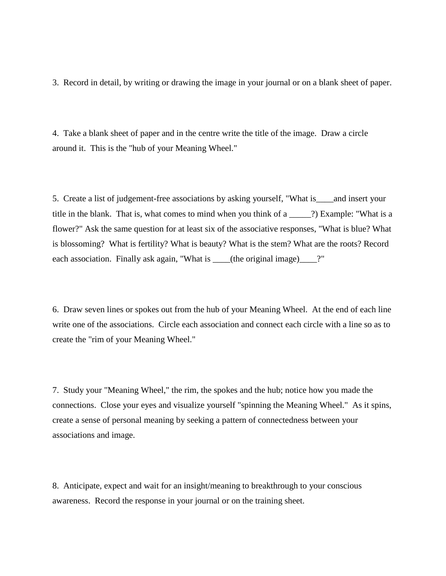3. Record in detail, by writing or drawing the image in your journal or on a blank sheet of paper.

4. Take a blank sheet of paper and in the centre write the title of the image. Draw a circle around it. This is the "hub of your Meaning Wheel."

5. Create a list of judgement-free associations by asking yourself, "What is\_\_\_\_and insert your title in the blank. That is, what comes to mind when you think of a \_\_\_\_\_?) Example: "What is a flower?" Ask the same question for at least six of the associative responses, "What is blue? What is blossoming? What is fertility? What is beauty? What is the stem? What are the roots? Record each association. Finally ask again, "What is \_\_\_\_(the original image)\_\_\_\_?"

6. Draw seven lines or spokes out from the hub of your Meaning Wheel. At the end of each line write one of the associations. Circle each association and connect each circle with a line so as to create the "rim of your Meaning Wheel."

7. Study your "Meaning Wheel," the rim, the spokes and the hub; notice how you made the connections. Close your eyes and visualize yourself "spinning the Meaning Wheel." As it spins, create a sense of personal meaning by seeking a pattern of connectedness between your associations and image.

8. Anticipate, expect and wait for an insight/meaning to breakthrough to your conscious awareness. Record the response in your journal or on the training sheet.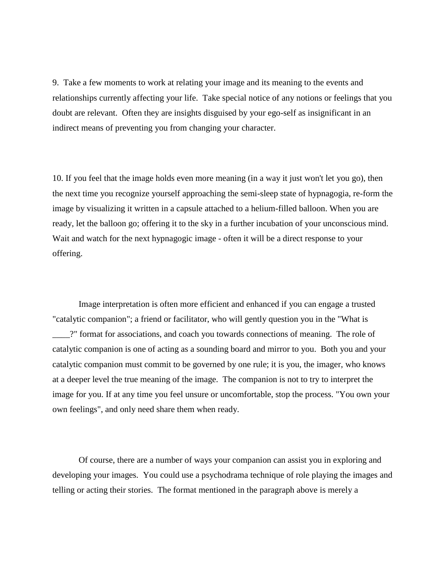9. Take a few moments to work at relating your image and its meaning to the events and relationships currently affecting your life. Take special notice of any notions or feelings that you doubt are relevant. Often they are insights disguised by your ego-self as insignificant in an indirect means of preventing you from changing your character.

10. If you feel that the image holds even more meaning (in a way it just won't let you go), then the next time you recognize yourself approaching the semi-sleep state of hypnagogia, re-form the image by visualizing it written in a capsule attached to a helium-filled balloon. When you are ready, let the balloon go; offering it to the sky in a further incubation of your unconscious mind. Wait and watch for the next hypnagogic image - often it will be a direct response to your offering.

Image interpretation is often more efficient and enhanced if you can engage a trusted "catalytic companion"; a friend or facilitator, who will gently question you in the "What is \_\_\_\_?" format for associations, and coach you towards connections of meaning. The role of catalytic companion is one of acting as a sounding board and mirror to you. Both you and your catalytic companion must commit to be governed by one rule; it is you, the imager, who knows at a deeper level the true meaning of the image. The companion is not to try to interpret the image for you. If at any time you feel unsure or uncomfortable, stop the process. "You own your own feelings", and only need share them when ready.

Of course, there are a number of ways your companion can assist you in exploring and developing your images. You could use a psychodrama technique of role playing the images and telling or acting their stories. The format mentioned in the paragraph above is merely a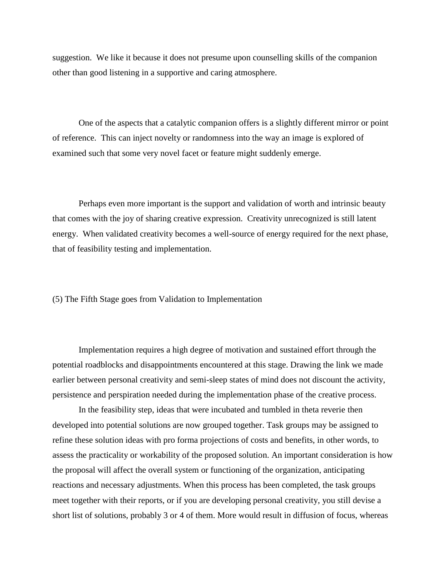suggestion. We like it because it does not presume upon counselling skills of the companion other than good listening in a supportive and caring atmosphere.

One of the aspects that a catalytic companion offers is a slightly different mirror or point of reference. This can inject novelty or randomness into the way an image is explored of examined such that some very novel facet or feature might suddenly emerge.

Perhaps even more important is the support and validation of worth and intrinsic beauty that comes with the joy of sharing creative expression. Creativity unrecognized is still latent energy. When validated creativity becomes a well-source of energy required for the next phase, that of feasibility testing and implementation.

(5) The Fifth Stage goes from Validation to Implementation

Implementation requires a high degree of motivation and sustained effort through the potential roadblocks and disappointments encountered at this stage. Drawing the link we made earlier between personal creativity and semi-sleep states of mind does not discount the activity, persistence and perspiration needed during the implementation phase of the creative process.

In the feasibility step, ideas that were incubated and tumbled in theta reverie then developed into potential solutions are now grouped together. Task groups may be assigned to refine these solution ideas with pro forma projections of costs and benefits, in other words, to assess the practicality or workability of the proposed solution. An important consideration is how the proposal will affect the overall system or functioning of the organization, anticipating reactions and necessary adjustments. When this process has been completed, the task groups meet together with their reports, or if you are developing personal creativity, you still devise a short list of solutions, probably 3 or 4 of them. More would result in diffusion of focus, whereas